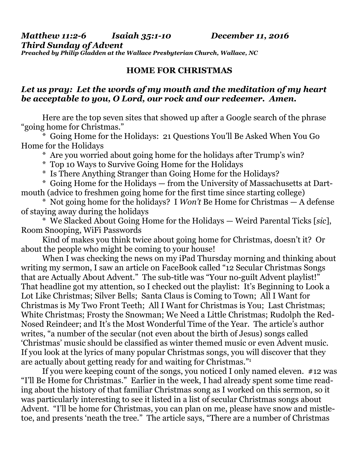*Matthew 11:2-6 Isaiah 35:1-10 December 11, 2016 Third Sunday of Advent Preached by Philip Gladden at the Wallace Presbyterian Church, Wallace, NC* 

## **HOME FOR CHRISTMAS**

## *Let us pray: Let the words of my mouth and the meditation of my heart be acceptable to you, O Lord, our rock and our redeemer. Amen.*

Here are the top seven sites that showed up after a Google search of the phrase "going home for Christmas."

 \* Going Home for the Holidays: 21 Questions You'll Be Asked When You Go Home for the Holidays

\* Are you worried about going home for the holidays after Trump's win?

\* Top 10 Ways to Survive Going Home for the Holidays

\* Is There Anything Stranger than Going Home for the Holidays?

 \* Going Home for the Holidays — from the University of Massachusetts at Dartmouth (advice to freshmen going home for the first time since starting college)

 \* Not going home for the holidays? I *Won't* Be Home for Christmas — A defense of staying away during the holidays

 \* We Slacked About Going Home for the Holidays — Weird Parental Ticks [*sic*], Room Snooping, WiFi Passwords

 Kind of makes you think twice about going home for Christmas, doesn't it? Or about the people who might be coming to your house!

When I was checking the news on my iPad Thursday morning and thinking about writing my sermon, I saw an article on FaceBook called "12 Secular Christmas Songs that are Actually About Advent." The sub-title was "Your no-guilt Advent playlist!" That headline got my attention, so I checked out the playlist: It's Beginning to Look a Lot Like Christmas; Silver Bells; Santa Claus is Coming to Town; All I Want for Christmas is My Two Front Teeth; All I Want for Christmas is You; Last Christmas; White Christmas; Frosty the Snowman; We Need a Little Christmas; Rudolph the Red-Nosed Reindeer; and It's the Most Wonderful Time of the Year. The article's author writes, "a number of the secular (not even about the birth of Jesus) songs called 'Christmas' music should be classified as winter themed music or even Advent music. If you look at the lyrics of many popular Christmas songs, you will discover that they are actually about getting ready for and waiting for Christmas."1

If you were keeping count of the songs, you noticed I only named eleven. #12 was "I'll Be Home for Christmas." Earlier in the week, I had already spent some time reading about the history of that familiar Christmas song as I worked on this sermon, so it was particularly interesting to see it listed in a list of secular Christmas songs about Advent. "I'll be home for Christmas, you can plan on me, please have snow and mistletoe, and presents 'neath the tree." The article says, "There are a number of Christmas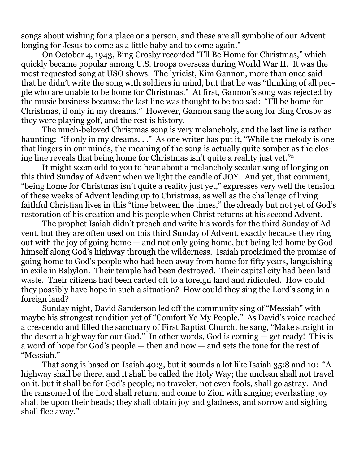songs about wishing for a place or a person, and these are all symbolic of our Advent longing for Jesus to come as a little baby and to come again."

 On October 4, 1943, Bing Crosby recorded "I'll Be Home for Christmas," which quickly became popular among U.S. troops overseas during World War II. It was the most requested song at USO shows. The lyricist, Kim Gannon, more than once said that he didn't write the song with soldiers in mind, but that he was "thinking of all people who are unable to be home for Christmas." At first, Gannon's song was rejected by the music business because the last line was thought to be too sad: "I'll be home for Christmas, if only in my dreams." However, Gannon sang the song for Bing Crosby as they were playing golf, and the rest is history.

 The much-beloved Christmas song is very melancholy, and the last line is rather haunting: "if only in my dreams..." As one writer has put it, "While the melody is one that lingers in our minds, the meaning of the song is actually quite somber as the closing line reveals that being home for Christmas isn't quite a reality just yet."2

 It might seem odd to you to hear about a melancholy secular song of longing on this third Sunday of Advent when we light the candle of JOY. And yet, that comment, "being home for Christmas isn't quite a reality just yet," expresses very well the tension of these weeks of Advent leading up to Christmas, as well as the challenge of living faithful Christian lives in this "time between the times," the already but not yet of God's restoration of his creation and his people when Christ returns at his second Advent.

 The prophet Isaiah didn't preach and write his words for the third Sunday of Advent, but they are often used on this third Sunday of Advent, exactly because they ring out with the joy of going home — and not only going home, but being led home by God himself along God's highway through the wilderness. Isaiah proclaimed the promise of going home to God's people who had been away from home for fifty years, languishing in exile in Babylon. Their temple had been destroyed. Their capital city had been laid waste. Their citizens had been carted off to a foreign land and ridiculed. How could they possibly have hope in such a situation? How could they sing the Lord's song in a foreign land?

 Sunday night, David Sanderson led off the community sing of "Messiah" with maybe his strongest rendition yet of "Comfort Ye My People." As David's voice reached a crescendo and filled the sanctuary of First Baptist Church, he sang, "Make straight in the desert a highway for our God." In other words, God is coming — get ready! This is a word of hope for God's people — then and now — and sets the tone for the rest of "Messiah."

 That song is based on Isaiah 40:3, but it sounds a lot like Isaiah 35:8 and 10: "A highway shall be there, and it shall be called the Holy Way; the unclean shall not travel on it, but it shall be for God's people; no traveler, not even fools, shall go astray. And the ransomed of the Lord shall return, and come to Zion with singing; everlasting joy shall be upon their heads; they shall obtain joy and gladness, and sorrow and sighing shall flee away."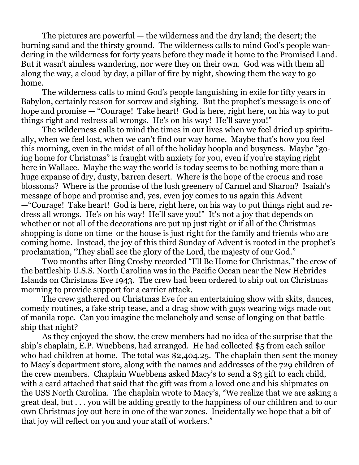The pictures are powerful — the wilderness and the dry land; the desert; the burning sand and the thirsty ground. The wilderness calls to mind God's people wandering in the wilderness for forty years before they made it home to the Promised Land. But it wasn't aimless wandering, nor were they on their own. God was with them all along the way, a cloud by day, a pillar of fire by night, showing them the way to go home.

 The wilderness calls to mind God's people languishing in exile for fifty years in Babylon, certainly reason for sorrow and sighing. But the prophet's message is one of hope and promise — "Courage! Take heart! God is here, right here, on his way to put things right and redress all wrongs. He's on his way! He'll save you!"

 The wilderness calls to mind the times in our lives when we feel dried up spiritually, when we feel lost, when we can't find our way home. Maybe that's how you feel this morning, even in the midst of all of the holiday hoopla and busyness. Maybe "going home for Christmas" is fraught with anxiety for you, even if you're staying right here in Wallace. Maybe the way the world is today seems to be nothing more than a huge expanse of dry, dusty, barren desert. Where is the hope of the crocus and rose blossoms? Where is the promise of the lush greenery of Carmel and Sharon? Isaiah's message of hope and promise and, yes, even joy comes to us again this Advent —"Courage! Take heart! God is here, right here, on his way to put things right and redress all wrongs. He's on his way! He'll save you!" It's not a joy that depends on whether or not all of the decorations are put up just right or if all of the Christmas shopping is done on time or the house is just right for the family and friends who are coming home. Instead, the joy of this third Sunday of Advent is rooted in the prophet's proclamation, "They shall see the glory of the Lord, the majesty of our God."

 Two months after Bing Crosby recorded "I'll Be Home for Christmas," the crew of the battleship U.S.S. North Carolina was in the Pacific Ocean near the New Hebrides Islands on Christmas Eve 1943. The crew had been ordered to ship out on Christmas morning to provide support for a carrier attack.

 The crew gathered on Christmas Eve for an entertaining show with skits, dances, comedy routines, a fake strip tease, and a drag show with guys wearing wigs made out of manila rope. Can you imagine the melancholy and sense of longing on that battleship that night?

 As they enjoyed the show, the crew members had no idea of the surprise that the ship's chaplain, E.P. Wuebbens, had arranged. He had collected \$5 from each sailor who had children at home. The total was \$2,404.25. The chaplain then sent the money to Macy's department store, along with the names and addresses of the 729 children of the crew members. Chaplain Wuebbens asked Macy's to send a \$3 gift to each child, with a card attached that said that the gift was from a loved one and his shipmates on the USS North Carolina. The chaplain wrote to Macy's, "We realize that we are asking a great deal, but . . . you will be adding greatly to the happiness of our children and to our own Christmas joy out here in one of the war zones. Incidentally we hope that a bit of that joy will reflect on you and your staff of workers."